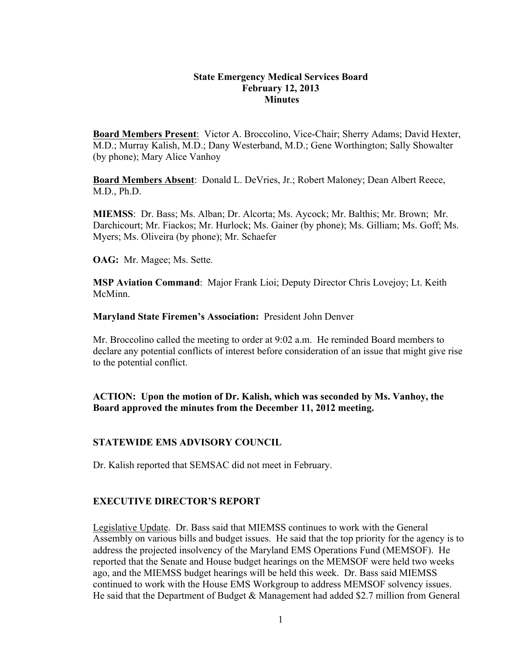#### **State Emergency Medical Services Board February 12, 2013 Minutes**

**Board Members Present**: Victor A. Broccolino, Vice-Chair; Sherry Adams; David Hexter, M.D.; Murray Kalish, M.D.; Dany Westerband, M.D.; Gene Worthington; Sally Showalter (by phone); Mary Alice Vanhoy

**Board Members Absent**: Donald L. DeVries, Jr.; Robert Maloney; Dean Albert Reece, M.D., Ph.D.

**MIEMSS**: Dr. Bass; Ms. Alban; Dr. Alcorta; Ms. Aycock; Mr. Balthis; Mr. Brown; Mr. Darchicourt; Mr. Fiackos; Mr. Hurlock; Ms. Gainer (by phone); Ms. Gilliam; Ms. Goff; Ms. Myers; Ms. Oliveira (by phone); Mr. Schaefer

**OAG:** Mr. Magee; Ms. Sette.

**MSP Aviation Command**: Major Frank Lioi; Deputy Director Chris Lovejoy; Lt. Keith McMinn.

**Maryland State Firemen's Association:** President John Denver

Mr. Broccolino called the meeting to order at 9:02 a.m. He reminded Board members to declare any potential conflicts of interest before consideration of an issue that might give rise to the potential conflict.

**ACTION: Upon the motion of Dr. Kalish, which was seconded by Ms. Vanhoy, the Board approved the minutes from the December 11, 2012 meeting.**

## **STATEWIDE EMS ADVISORY COUNCIL**

Dr. Kalish reported that SEMSAC did not meet in February.

## **EXECUTIVE DIRECTOR'S REPORT**

Legislative Update. Dr. Bass said that MIEMSS continues to work with the General Assembly on various bills and budget issues. He said that the top priority for the agency is to address the projected insolvency of the Maryland EMS Operations Fund (MEMSOF). He reported that the Senate and House budget hearings on the MEMSOF were held two weeks ago, and the MIEMSS budget hearings will be held this week. Dr. Bass said MIEMSS continued to work with the House EMS Workgroup to address MEMSOF solvency issues. He said that the Department of Budget & Management had added \$2.7 million from General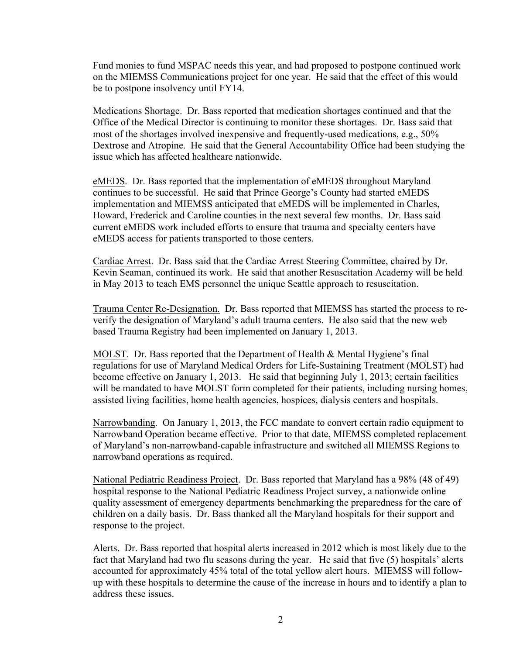Fund monies to fund MSPAC needs this year, and had proposed to postpone continued work on the MIEMSS Communications project for one year. He said that the effect of this would be to postpone insolvency until FY14.

Medications Shortage. Dr. Bass reported that medication shortages continued and that the Office of the Medical Director is continuing to monitor these shortages. Dr. Bass said that most of the shortages involved inexpensive and frequently-used medications, e.g., 50% Dextrose and Atropine. He said that the General Accountability Office had been studying the issue which has affected healthcare nationwide.

eMEDS. Dr. Bass reported that the implementation of eMEDS throughout Maryland continues to be successful. He said that Prince George's County had started eMEDS implementation and MIEMSS anticipated that eMEDS will be implemented in Charles, Howard, Frederick and Caroline counties in the next several few months. Dr. Bass said current eMEDS work included efforts to ensure that trauma and specialty centers have eMEDS access for patients transported to those centers.

Cardiac Arrest. Dr. Bass said that the Cardiac Arrest Steering Committee, chaired by Dr. Kevin Seaman, continued its work. He said that another Resuscitation Academy will be held in May 2013 to teach EMS personnel the unique Seattle approach to resuscitation.

Trauma Center Re-Designation. Dr. Bass reported that MIEMSS has started the process to reverify the designation of Maryland's adult trauma centers. He also said that the new web based Trauma Registry had been implemented on January 1, 2013.

MOLST. Dr. Bass reported that the Department of Health & Mental Hygiene's final regulations for use of Maryland Medical Orders for Life-Sustaining Treatment (MOLST) had become effective on January 1, 2013. He said that beginning July 1, 2013; certain facilities will be mandated to have MOLST form completed for their patients, including nursing homes, assisted living facilities, home health agencies, hospices, dialysis centers and hospitals.

Narrowbanding. On January 1, 2013, the FCC mandate to convert certain radio equipment to Narrowband Operation became effective. Prior to that date, MIEMSS completed replacement of Maryland's non-narrowband-capable infrastructure and switched all MIEMSS Regions to narrowband operations as required.

National Pediatric Readiness Project. Dr. Bass reported that Maryland has a 98% (48 of 49) hospital response to the National Pediatric Readiness Project survey, a nationwide online quality assessment of emergency departments benchmarking the preparedness for the care of children on a daily basis. Dr. Bass thanked all the Maryland hospitals for their support and response to the project.

Alerts. Dr. Bass reported that hospital alerts increased in 2012 which is most likely due to the fact that Maryland had two flu seasons during the year. He said that five (5) hospitals' alerts accounted for approximately 45% total of the total yellow alert hours. MIEMSS will followup with these hospitals to determine the cause of the increase in hours and to identify a plan to address these issues.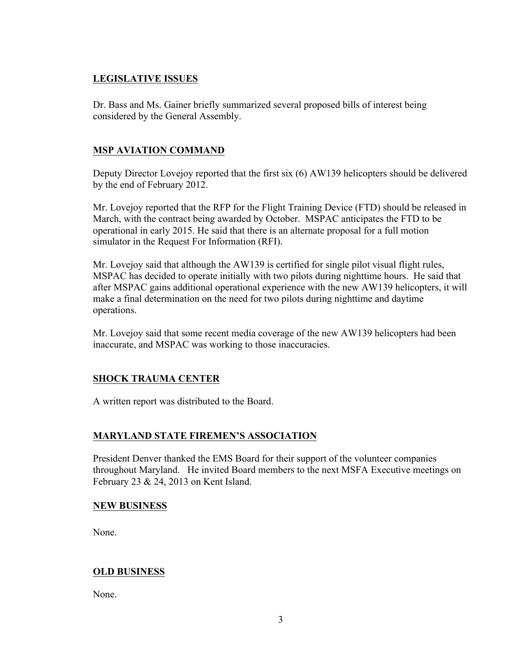# **LEGISLATIVE ISSUES**

Dr. Bass and Ms. Gainer briefly summarized several proposed bills of interest being considered by the General Assembly.

# **MSP AVIATION COMMAND**

Deputy Director Lovejoy reported that the first six (6) AW139 helicopters should be delivered by the end of February 2012.

Mr. Lovejoy reported that the RFP for the Flight Training Device (FTD) should be released in March, with the contract being awarded by October. MSPAC anticipates the FTD to be operational in early 2015. He said that there is an alternate proposal for a full motion simulator in the Request For Information (RFI).

Mr. Lovejoy said that although the AW139 is certified for single pilot visual flight rules, MSPAC has decided to operate initially with two pilots during nighttime hours. He said that after MSPAC gains additional operational experience with the new AW139 helicopters, it will make a final determination on the need for two pilots during nighttime and daytime operations.

Mr. Lovejoy said that some recent media coverage of the new AW139 helicopters had been inaccurate, and MSPAC was working to those inaccuracies.

## **SHOCK TRAUMA CENTER**

A written report was distributed to the Board.

## **MARYLAND STATE FIREMEN'S ASSOCIATION**

President Denver thanked the EMS Board for their support of the volunteer companies throughout Maryland. He invited Board members to the next MSFA Executive meetings on February 23 & 24, 2013 on Kent Island.

## **NEW BUSINESS**

None.

## **OLD BUSINESS**

None.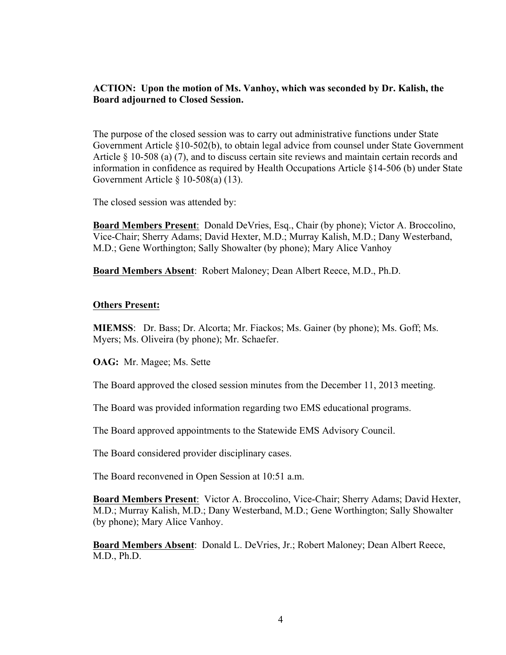#### **ACTION: Upon the motion of Ms. Vanhoy, which was seconded by Dr. Kalish, the Board adjourned to Closed Session.**

The purpose of the closed session was to carry out administrative functions under State Government Article §10-502(b), to obtain legal advice from counsel under State Government Article § 10-508 (a) (7), and to discuss certain site reviews and maintain certain records and information in confidence as required by Health Occupations Article §14-506 (b) under State Government Article § 10-508(a) (13).

The closed session was attended by:

**Board Members Present**: Donald DeVries, Esq., Chair (by phone); Victor A. Broccolino, Vice-Chair; Sherry Adams; David Hexter, M.D.; Murray Kalish, M.D.; Dany Westerband, M.D.; Gene Worthington; Sally Showalter (by phone); Mary Alice Vanhoy

**Board Members Absent**: Robert Maloney; Dean Albert Reece, M.D., Ph.D.

#### **Others Present:**

**MIEMSS**: Dr. Bass; Dr. Alcorta; Mr. Fiackos; Ms. Gainer (by phone); Ms. Goff; Ms. Myers; Ms. Oliveira (by phone); Mr. Schaefer.

**OAG:** Mr. Magee; Ms. Sette

The Board approved the closed session minutes from the December 11, 2013 meeting.

The Board was provided information regarding two EMS educational programs.

The Board approved appointments to the Statewide EMS Advisory Council.

The Board considered provider disciplinary cases.

The Board reconvened in Open Session at 10:51 a.m.

**Board Members Present**: Victor A. Broccolino, Vice-Chair; Sherry Adams; David Hexter, M.D.; Murray Kalish, M.D.; Dany Westerband, M.D.; Gene Worthington; Sally Showalter (by phone); Mary Alice Vanhoy.

**Board Members Absent**: Donald L. DeVries, Jr.; Robert Maloney; Dean Albert Reece, M.D., Ph.D.